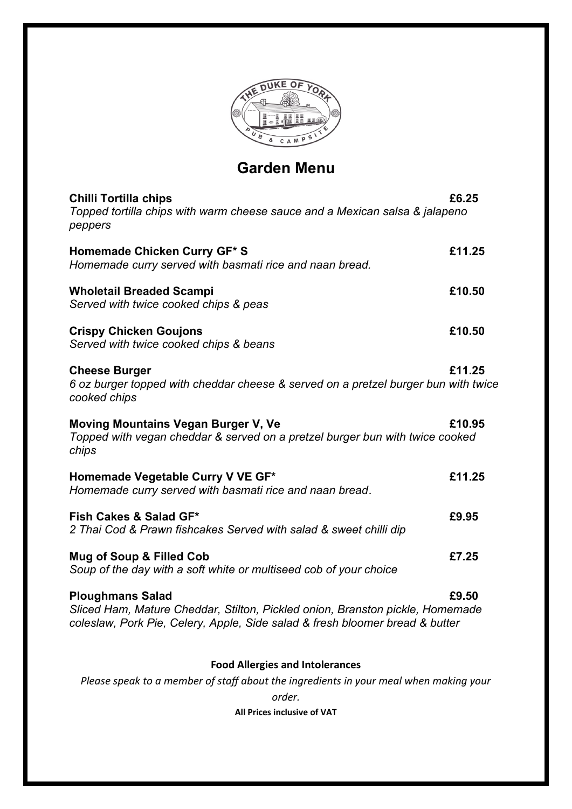

# **Garden Menu**

| <b>Chilli Tortilla chips</b><br>Topped tortilla chips with warm cheese sauce and a Mexican salsa & jalapeno<br>peppers                                                                   | £6.25  |
|------------------------------------------------------------------------------------------------------------------------------------------------------------------------------------------|--------|
| Homemade Chicken Curry GF* S<br>Homemade curry served with basmati rice and naan bread.                                                                                                  | £11.25 |
| <b>Wholetail Breaded Scampi</b><br>Served with twice cooked chips & peas                                                                                                                 | £10.50 |
| <b>Crispy Chicken Goujons</b><br>Served with twice cooked chips & beans                                                                                                                  | £10.50 |
| <b>Cheese Burger</b><br>6 oz burger topped with cheddar cheese & served on a pretzel burger bun with twice<br>cooked chips                                                               | £11.25 |
| <b>Moving Mountains Vegan Burger V, Ve</b><br>Topped with vegan cheddar & served on a pretzel burger bun with twice cooked<br>chips                                                      | £10.95 |
| Homemade Vegetable Curry V VE GF*<br>Homemade curry served with basmati rice and naan bread.                                                                                             | £11.25 |
| Fish Cakes & Salad GF*<br>2 Thai Cod & Prawn fishcakes Served with salad & sweet chilli dip                                                                                              | £9.95  |
| Mug of Soup & Filled Cob<br>Soup of the day with a soft white or multiseed cob of your choice                                                                                            | £7.25  |
| <b>Ploughmans Salad</b><br>Sliced Ham, Mature Cheddar, Stilton, Pickled onion, Branston pickle, Homemade<br>coleslaw, Pork Pie, Celery, Apple, Side salad & fresh bloomer bread & butter | £9.50  |
| <b>Food Allergies and Intolerances</b>                                                                                                                                                   |        |
| Please speak to a member of staff about the ingredients in your meal when making your<br>order.                                                                                          |        |

**All Prices inclusive of VAT**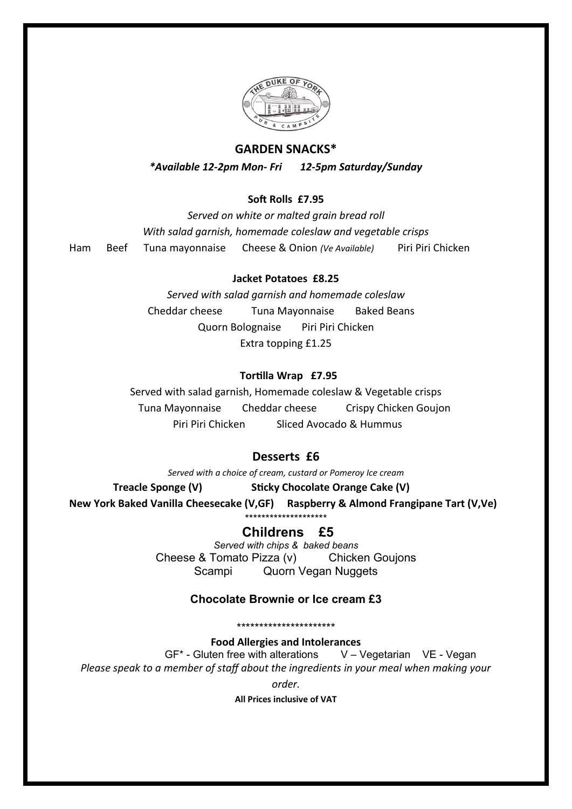

### **GARDEN SNACKS\***

*\*Available 12-2pm Mon- Fri 12-5pm Saturday/Sunday*

#### **Soft Rolls £7.95**

*Served on white or malted grain bread roll With salad garnish, homemade coleslaw and vegetable crisps* Ham Beef Tuna mayonnaise Cheese & Onion *(Ve Available)* Piri Piri Chicken

#### **Jacket Potatoes £8.25**

*Served with salad garnish and homemade coleslaw* Cheddar cheese Tuna Mayonnaise Baked Beans Quorn Bolognaise Piri Piri Chicken Extra topping £1.25

#### **Tortilla Wrap £7.95**

Served with salad garnish, Homemade coleslaw & Vegetable crisps Tuna Mayonnaise Cheddar cheese Crispy Chicken Goujon Piri Piri Chicken Sliced Avocado & Hummus

#### **Desserts £6**

*Served with a choice of cream, custard or Pomeroy Ice cream* **Treacle Sponge (V) Sticky Chocolate Orange Cake (V) New York Baked Vanilla Cheesecake (V,GF) Raspberry & Almond Frangipane Tart (V,Ve)** \*\*\*\*\*\*\*\*\*\*\*\*\*\*\*\*\*\*\*\*

## **Childrens £5**

*Served with chips & baked beans* Cheese & Tomato Pizza (v) Chicken Goujons Scampi Quorn Vegan Nuggets

#### **Chocolate Brownie or Ice cream £3**

\*\*\*\*\*\*\*\*\*\*\*\*\*\*\*\*\*\*\*\*\*\*

**Food Allergies and Intolerances**  $GF<sup>*</sup>$  - Gluten free with alterations  $V - Veq$ etarian VE - Vegan *Please speak to a member of staff about the ingredients in your meal when making your*

*order.*

**All Prices inclusive of VAT**